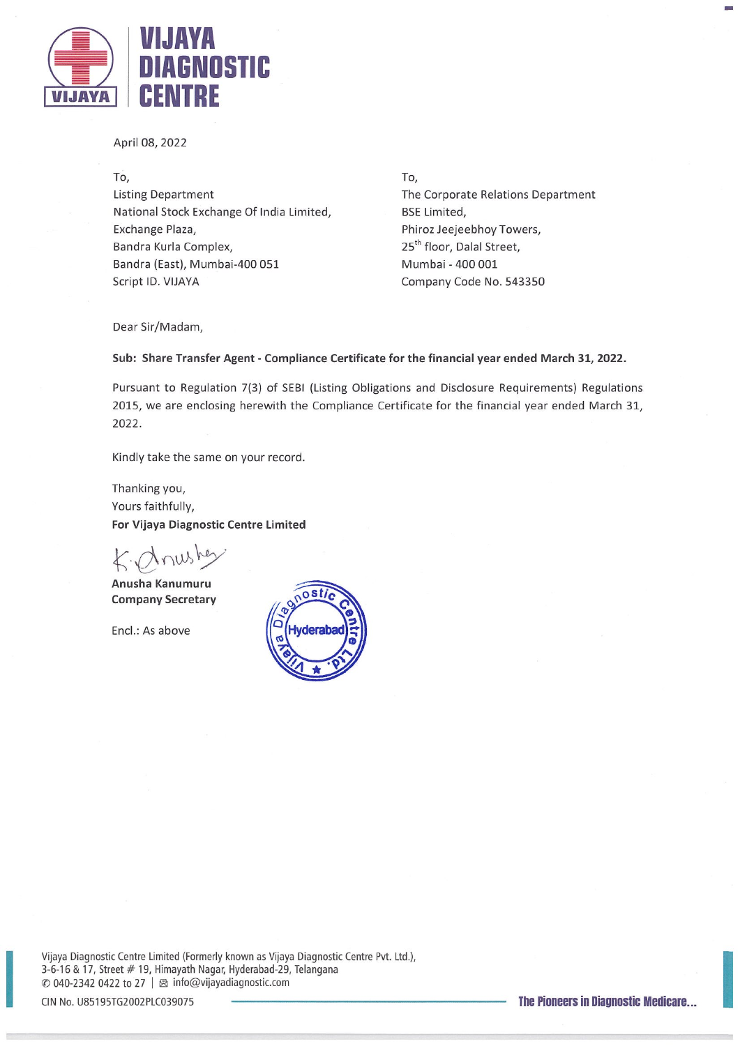

April 08,2022

To, Listing Department National Stock Exchange Of India Limited, Exchange Plaza, Bandra Kurla Complex, Bandra (East), Mumbai-400 051 Script ID. VIJAYA

To, The Corporate Relations Department BSE Limited, Phiroz Jeejeebhoy Towers, 25<sup>th</sup> floor, Dalal Street, Mumbai - 400 001 Company Code No.543350

Dear Sir/Madam,

## Sub: Share Transfer Agent - Compliance Certificate for the financial year ended March 31, 2022.

Pursuant to Regulation 7(3) of SEBI (Listing Obligations and Disclosure Requirements) Regulations 2015, we are enclosing herewith the Compliance Certificate for the financial year ended March 31, 2022.

Kindly take the same on your record.

Thanking you, Vours faithfully, For Vijaya Diagnostic Centre Limited

Anusha Kanumuru Company Secretary

End.: As above



Vijaya Diagnostic Centre Limited (Formerly known as Vijaya Diagnostic Centre Pvt. Ltd.), 3-6-16 & 17, Street # 19, Himayath Nagar, Hyderabad-29, Telangana © 040-2342 <sup>0422</sup> to <sup>27</sup> <sup>I</sup> ~ info@vijayadiagnostic.com